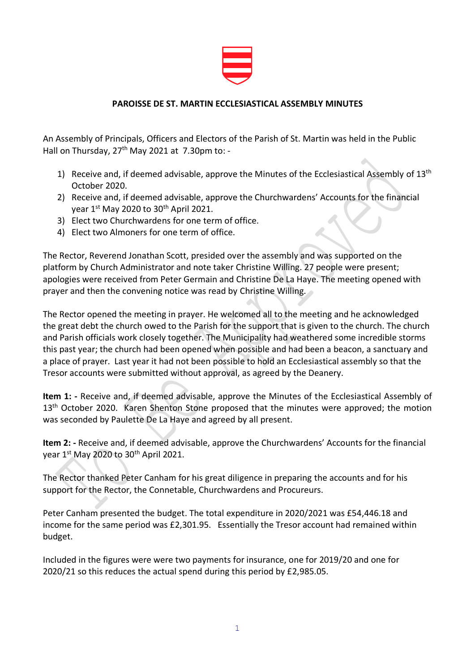

## **PAROISSE DE ST. MARTIN ECCLESIASTICAL ASSEMBLY MINUTES**

An Assembly of Principals, Officers and Electors of the Parish of St. Martin was held in the Public Hall on Thursday, 27<sup>th</sup> May 2021 at 7.30pm to: -

- 1) Receive and, if deemed advisable, approve the Minutes of the Ecclesiastical Assembly of  $13<sup>th</sup>$ October 2020.
- 2) Receive and, if deemed advisable, approve the Churchwardens' Accounts for the financial year 1st May 2020 to 30th April 2021.
- 3) Elect two Churchwardens for one term of office.
- 4) Elect two Almoners for one term of office.

The Rector, Reverend Jonathan Scott, presided over the assembly and was supported on the platform by Church Administrator and note taker Christine Willing. 27 people were present; apologies were received from Peter Germain and Christine De La Haye. The meeting opened with prayer and then the convening notice was read by Christine Willing.

The Rector opened the meeting in prayer. He welcomed all to the meeting and he acknowledged the great debt the church owed to the Parish for the support that is given to the church. The church and Parish officials work closely together. The Municipality had weathered some incredible storms this past year; the church had been opened when possible and had been a beacon, a sanctuary and a place of prayer. Last year it had not been possible to hold an Ecclesiastical assembly so that the Tresor accounts were submitted without approval, as agreed by the Deanery.

**Item 1: -** Receive and, if deemed advisable, approve the Minutes of the Ecclesiastical Assembly of  $13<sup>th</sup>$  October 2020. Karen Shenton Stone proposed that the minutes were approved; the motion was seconded by Paulette De La Haye and agreed by all present.

**Item 2: -** Receive and, if deemed advisable, approve the Churchwardens' Accounts for the financial year 1<sup>st</sup> May 2020 to 30<sup>th</sup> April 2021.

The Rector thanked Peter Canham for his great diligence in preparing the accounts and for his support for the Rector, the Connetable, Churchwardens and Procureurs.

Peter Canham presented the budget. The total expenditure in 2020/2021 was £54,446.18 and income for the same period was £2,301.95. Essentially the Tresor account had remained within budget.

Included in the figures were were two payments for insurance, one for 2019/20 and one for 2020/21 so this reduces the actual spend during this period by £2,985.05.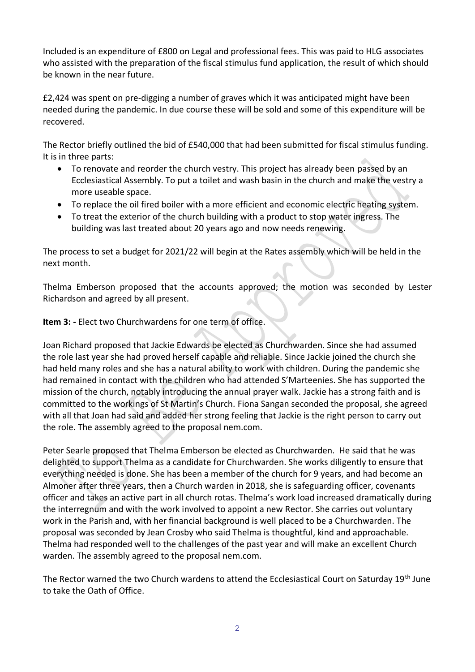Included is an expenditure of £800 on Legal and professional fees. This was paid to HLG associates who assisted with the preparation of the fiscal stimulus fund application, the result of which should be known in the near future.

£2,424 was spent on pre-digging a number of graves which it was anticipated might have been needed during the pandemic. In due course these will be sold and some of this expenditure will be recovered.

The Rector briefly outlined the bid of £540,000 that had been submitted for fiscal stimulus funding. It is in three parts:

- To renovate and reorder the church vestry. This project has already been passed by an Ecclesiastical Assembly. To put a toilet and wash basin in the church and make the vestry a more useable space.
- To replace the oil fired boiler with a more efficient and economic electric heating system.
- To treat the exterior of the church building with a product to stop water ingress. The building was last treated about 20 years ago and now needs renewing.

The process to set a budget for 2021/22 will begin at the Rates assembly which will be held in the next month.

Thelma Emberson proposed that the accounts approved; the motion was seconded by Lester Richardson and agreed by all present.

**Item 3: -** Elect two Churchwardens for one term of office.

Joan Richard proposed that Jackie Edwards be elected as Churchwarden. Since she had assumed the role last year she had proved herself capable and reliable. Since Jackie joined the church she had held many roles and she has a natural ability to work with children. During the pandemic she had remained in contact with the children who had attended S'Marteenies. She has supported the mission of the church, notably introducing the annual prayer walk. Jackie has a strong faith and is committed to the workings of St Martin's Church. Fiona Sangan seconded the proposal, she agreed with all that Joan had said and added her strong feeling that Jackie is the right person to carry out the role. The assembly agreed to the proposal nem.com.

Peter Searle proposed that Thelma Emberson be elected as Churchwarden. He said that he was delighted to support Thelma as a candidate for Churchwarden. She works diligently to ensure that everything needed is done. She has been a member of the church for 9 years, and had become an Almoner after three years, then a Church warden in 2018, she is safeguarding officer, covenants officer and takes an active part in all church rotas. Thelma's work load increased dramatically during the interregnum and with the work involved to appoint a new Rector. She carries out voluntary work in the Parish and, with her financial background is well placed to be a Churchwarden. The proposal was seconded by Jean Crosby who said Thelma is thoughtful, kind and approachable. Thelma had responded well to the challenges of the past year and will make an excellent Church warden. The assembly agreed to the proposal nem.com.

The Rector warned the two Church wardens to attend the Ecclesiastical Court on Saturday 19<sup>th</sup> June to take the Oath of Office.